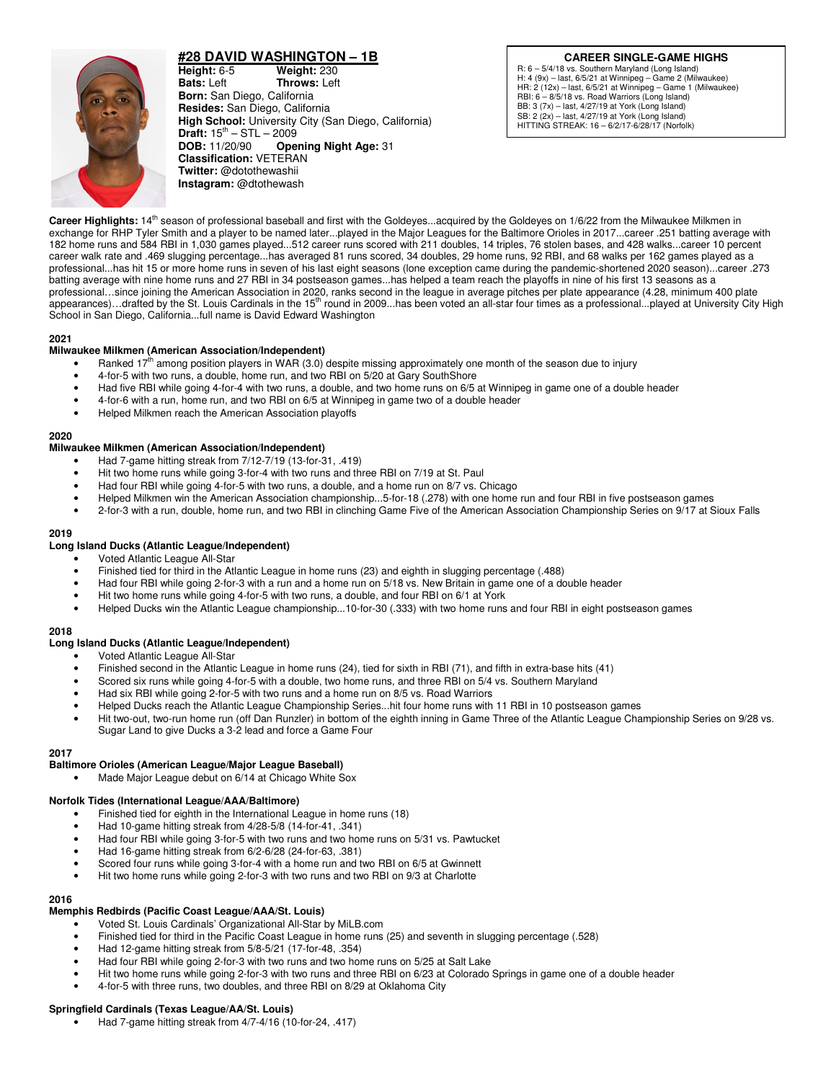

# **#28 DAVID WASHINGTON – 1B**

**Height:** 6-5 **Weight:** 230 **Bats:** Left **Throws:** Lef **Bats:** Left **Throws:** Left **Born:** San Diego, California **Resides:** San Diego, California **High School:** University City (San Diego, California) **Draft:**  $15^{th} - STL - 2009$ **DOB:** 11/20/90 **Opening Night Age:** 31 **Classification:** VETERAN **Twitter:** @dotothewashii **Instagram:** @dtothewash

## **CAREER SINGLE-GAME HIGHS**

R: 6 – 5/4/18 vs. Southern Maryland (Long Island) H: 4 (9x) – last, 6/5/21 at Winnipeg – Game 2 (Milwaukee) HR: 2 (12x) – last, 6/5/21 at Winnipeg – Game 1 (Milwaukee) RBI: 6 – 8/5/18 vs. Road Warriors (Long Island) BB: 3 (7x) – last, 4/27/19 at York (Long Island) SB: 2 (2x) – last, 4/27/19 at York (Long Island) HITTING STREAK: 16 – 6/2/17-6/28/17 (Norfolk)

Career Highlights: 14<sup>th</sup> season of professional baseball and first with the Goldeyes...acquired by the Goldeyes on 1/6/22 from the Milwaukee Milkmen in exchange for RHP Tyler Smith and a player to be named later...played in the Major Leagues for the Baltimore Orioles in 2017...career .251 batting average with 182 home runs and 584 RBI in 1,030 games played...512 career runs scored with 211 doubles, 14 triples, 76 stolen bases, and 428 walks...career 10 percent career walk rate and .469 slugging percentage...has averaged 81 runs scored, 34 doubles, 29 home runs, 92 RBI, and 68 walks per 162 games played as a professional...has hit 15 or more home runs in seven of his last eight seasons (lone exception came during the pandemic-shortened 2020 season)...career .273 batting average with nine home runs and 27 RBI in 34 postseason games...has helped a team reach the playoffs in nine of his first 13 seasons as a professional…since joining the American Association in 2020, ranks second in the league in average pitches per plate appearance (4.28, minimum 400 plate appearances)...drafted by the St. Louis Cardinals in the 15<sup>th</sup> round in 2009...has been voted an all-star four times as a professional...played at University City High School in San Diego, California...full name is David Edward Washington

## **2021**

## **Milwaukee Milkmen (American Association/Independent)**

- Ranked 17<sup>th</sup> among position players in WAR (3.0) despite missing approximately one month of the season due to injury
- 4-for-5 with two runs, a double, home run, and two RBI on 5/20 at Gary SouthShore
- Had five RBI while going 4-for-4 with two runs, a double, and two home runs on 6/5 at Winnipeg in game one of a double header
- 4-for-6 with a run, home run, and two RBI on 6/5 at Winnipeg in game two of a double header
- Helped Milkmen reach the American Association playoffs

### **2020**

## **Milwaukee Milkmen (American Association/Independent)**

- Had 7-game hitting streak from 7/12-7/19 (13-for-31, .419)
- Hit two home runs while going 3-for-4 with two runs and three RBI on 7/19 at St. Paul
- Had four RBI while going 4-for-5 with two runs, a double, and a home run on 8/7 vs. Chicago
- Helped Milkmen win the American Association championship...5-for-18 (.278) with one home run and four RBI in five postseason games
- 2-for-3 with a run, double, home run, and two RBI in clinching Game Five of the American Association Championship Series on 9/17 at Sioux Falls

### **2019**

### **Long Island Ducks (Atlantic League/Independent)**

- Voted Atlantic League All-Star
- Finished tied for third in the Atlantic League in home runs (23) and eighth in slugging percentage (.488)
- Had four RBI while going 2-for-3 with a run and a home run on 5/18 vs. New Britain in game one of a double header
- Hit two home runs while going 4-for-5 with two runs, a double, and four RBI on 6/1 at York
- Helped Ducks win the Atlantic League championship...10-for-30 (.333) with two home runs and four RBI in eight postseason games

#### **2018**

## **Long Island Ducks (Atlantic League/Independent)**

- Voted Atlantic League All-Star
- Finished second in the Atlantic League in home runs (24), tied for sixth in RBI (71), and fifth in extra-base hits (41)
- Scored six runs while going 4-for-5 with a double, two home runs, and three RBI on 5/4 vs. Southern Maryland
- Had six RBI while going 2-for-5 with two runs and a home run on 8/5 vs. Road Warriors
- Helped Ducks reach the Atlantic League Championship Series...hit four home runs with 11 RBI in 10 postseason games
- Hit two-out, two-run home run (off Dan Runzler) in bottom of the eighth inning in Game Three of the Atlantic League Championship Series on 9/28 vs. Sugar Land to give Ducks a 3-2 lead and force a Game Four

## **2017**

## **Baltimore Orioles (American League/Major League Baseball)**

Made Major League debut on 6/14 at Chicago White Sox

## **Norfolk Tides (International League/AAA/Baltimore)**

- Finished tied for eighth in the International League in home runs (18)
- Had 10-game hitting streak from 4/28-5/8 (14-for-41, .341)
- Had four RBI while going 3-for-5 with two runs and two home runs on 5/31 vs. Pawtucket
- Had 16-game hitting streak from 6/2-6/28 (24-for-63, .381)
- Scored four runs while going 3-for-4 with a home run and two RBI on 6/5 at Gwinnett
- Hit two home runs while going 2-for-3 with two runs and two RBI on 9/3 at Charlotte

#### **2016**

## **Memphis Redbirds (Pacific Coast League/AAA/St. Louis)**

- Voted St. Louis Cardinals' Organizational All-Star by MiLB.com
- Finished tied for third in the Pacific Coast League in home runs (25) and seventh in slugging percentage (.528)
- Had 12-game hitting streak from 5/8-5/21 (17-for-48, .354)
- Had four RBI while going 2-for-3 with two runs and two home runs on 5/25 at Salt Lake
- Hit two home runs while going 2-for-3 with two runs and three RBI on 6/23 at Colorado Springs in game one of a double header
- 4-for-5 with three runs, two doubles, and three RBI on 8/29 at Oklahoma City

## **Springfield Cardinals (Texas League/AA/St. Louis)**

• Had 7-game hitting streak from 4/7-4/16 (10-for-24, .417)